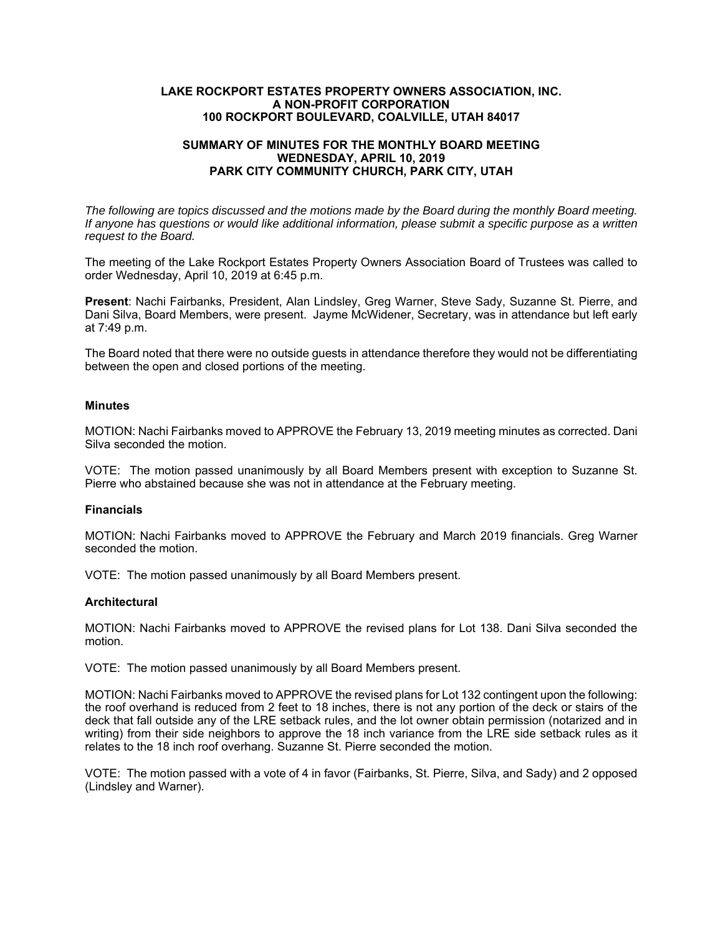# **LAKE ROCKPORT ESTATES PROPERTY OWNERS ASSOCIATION, INC. A NON-PROFIT CORPORATION 100 ROCKPORT BOULEVARD, COALVILLE, UTAH 84017**

# **SUMMARY OF MINUTES FOR THE MONTHLY BOARD MEETING WEDNESDAY, APRIL 10, 2019 PARK CITY COMMUNITY CHURCH, PARK CITY, UTAH**

*The following are topics discussed and the motions made by the Board during the monthly Board meeting. If anyone has questions or would like additional information, please submit a specific purpose as a written request to the Board.* 

The meeting of the Lake Rockport Estates Property Owners Association Board of Trustees was called to order Wednesday, April 10, 2019 at 6:45 p.m.

**Present**: Nachi Fairbanks, President, Alan Lindsley, Greg Warner, Steve Sady, Suzanne St. Pierre, and Dani Silva, Board Members, were present. Jayme McWidener, Secretary, was in attendance but left early at 7:49 p.m.

The Board noted that there were no outside guests in attendance therefore they would not be differentiating between the open and closed portions of the meeting.

## **Minutes**

MOTION: Nachi Fairbanks moved to APPROVE the February 13, 2019 meeting minutes as corrected. Dani Silva seconded the motion.

VOTE: The motion passed unanimously by all Board Members present with exception to Suzanne St. Pierre who abstained because she was not in attendance at the February meeting.

#### **Financials**

MOTION: Nachi Fairbanks moved to APPROVE the February and March 2019 financials. Greg Warner seconded the motion

VOTE: The motion passed unanimously by all Board Members present.

#### **Architectural**

MOTION: Nachi Fairbanks moved to APPROVE the revised plans for Lot 138. Dani Silva seconded the motion.

VOTE: The motion passed unanimously by all Board Members present.

MOTION: Nachi Fairbanks moved to APPROVE the revised plans for Lot 132 contingent upon the following: the roof overhand is reduced from 2 feet to 18 inches, there is not any portion of the deck or stairs of the deck that fall outside any of the LRE setback rules, and the lot owner obtain permission (notarized and in writing) from their side neighbors to approve the 18 inch variance from the LRE side setback rules as it relates to the 18 inch roof overhang. Suzanne St. Pierre seconded the motion.

VOTE: The motion passed with a vote of 4 in favor (Fairbanks, St. Pierre, Silva, and Sady) and 2 opposed (Lindsley and Warner).